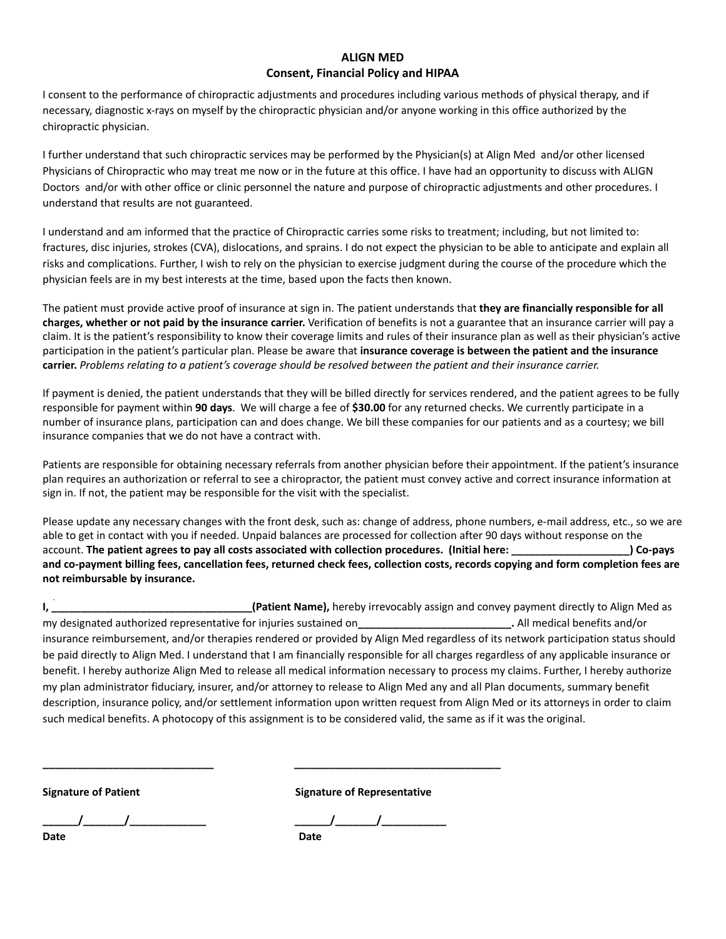# **ALIGN MED Consent, Financial Policy and HIPAA**

I consent to the performance of chiropractic adjustments and procedures including various methods of physical therapy, and if necessary, diagnostic x-rays on myself by the chiropractic physician and/or anyone working in this office authorized by the chiropractic physician.

I further understand that such chiropractic services may be performed by the Physician(s) at Align Med and/or other licensed Physicians of Chiropractic who may treat me now or in the future at this office. I have had an opportunity to discuss with ALIGN Doctors and/or with other office or clinic personnel the nature and purpose of chiropractic adjustments and other procedures. I understand that results are not guaranteed.

I understand and am informed that the practice of Chiropractic carries some risks to treatment; including, but not limited to: fractures, disc injuries, strokes (CVA), dislocations, and sprains. I do not expect the physician to be able to anticipate and explain all risks and complications. Further, I wish to rely on the physician to exercise judgment during the course of the procedure which the physician feels are in my best interests at the time, based upon the facts then known.

The patient must provide active proof of insurance at sign in. The patient understands that **they are financially responsible for all charges, whether or not paid by the insurance carrier.** Verification of benefits is not a guarantee that an insurance carrier will pay a claim. It is the patient's responsibility to know their coverage limits and rules of their insurance plan as well as their physician's active participation in the patient's particular plan. Please be aware that **insurance coverage is between the patient and the insurance** carrier. Problems relating to a patient's coverage should be resolved between the patient and their insurance carrier.

If payment is denied, the patient understands that they will be billed directly for services rendered, and the patient agrees to be fully responsible for payment within **90 days**. We will charge a fee of **\$30.00** for any returned checks. We currently participate in a number of insurance plans, participation can and does change. We bill these companies for our patients and as a courtesy; we bill insurance companies that we do not have a contract with.

Patients are responsible for obtaining necessary referrals from another physician before their appointment. If the patient's insurance plan requires an authorization or referral to see a chiropractor, the patient must convey active and correct insurance information at sign in. If not, the patient may be responsible for the visit with the specialist.

Please update any necessary changes with the front desk, such as: change of address, phone numbers, e-mail address, etc., so we are able to get in contact with you if needed. Unpaid balances are processed for collection after 90 days without response on the account. The patient agrees to pay all costs associated with collection procedures. (Initial here: ) Co-pays and co-payment billing fees, cancellation fees, returned check fees, collection costs, records copying and form completion fees are **not reimbursable by insurance.**

**I, \_\_\_\_\_\_\_\_\_\_\_\_\_\_\_\_\_\_\_\_\_\_\_\_\_\_\_\_\_\_\_\_\_\_(Patient Name),** hereby irrevocably assign and convey payment directly to Align Med as my designated authorized representative for injuries sustained on**\_\_\_\_\_\_\_\_\_\_\_\_\_\_\_\_\_\_\_\_\_\_\_\_\_\_.** All medical benefits and/or insurance reimbursement, and/or therapies rendered or provided by Align Med regardless of its network participation status should be paid directly to Align Med. I understand that I am financially responsible for all charges regardless of any applicable insurance or benefit. I hereby authorize Align Med to release all medical information necessary to process my claims. Further, I hereby authorize my plan administrator fiduciary, insurer, and/or attorney to release to Align Med any and all Plan documents, summary benefit description, insurance policy, and/or settlement information upon written request from Align Med or its attorneys in order to claim such medical benefits. A photocopy of this assignment is to be considered valid, the same as if it was the original.

**Signature of Patient Signature of Representative**

**Date Date**

**\_\_\_\_\_\_/\_\_\_\_\_\_\_/\_\_\_\_\_\_\_\_\_\_\_\_\_ \_\_\_\_\_\_/\_\_\_\_\_\_\_/\_\_\_\_\_\_\_\_\_\_\_**

**\_\_\_\_\_\_\_\_\_\_\_\_\_\_\_\_\_\_\_\_\_\_\_\_\_\_\_\_\_ \_\_\_\_\_\_\_\_\_\_\_\_\_\_\_\_\_\_\_\_\_\_\_\_\_\_\_\_\_\_\_\_\_\_\_**